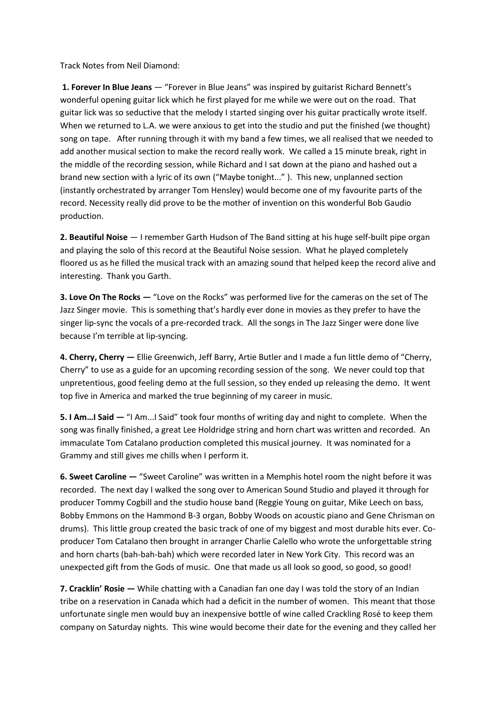Track Notes from Neil Diamond:

**1. Forever In Blue Jeans** — "Forever in Blue Jeans" was inspired by guitarist Richard Bennett's wonderful opening guitar lick which he first played for me while we were out on the road. That guitar lick was so seductive that the melody I started singing over his guitar practically wrote itself. When we returned to L.A. we were anxious to get into the studio and put the finished (we thought) song on tape. After running through it with my band a few times, we all realised that we needed to add another musical section to make the record really work. We called a 15 minute break, right in the middle of the recording session, while Richard and I sat down at the piano and hashed out a brand new section with a lyric of its own ("Maybe tonight..." ). This new, unplanned section (instantly orchestrated by arranger Tom Hensley) would become one of my favourite parts of the record. Necessity really did prove to be the mother of invention on this wonderful Bob Gaudio production.

**2. Beautiful Noise** — I remember Garth Hudson of The Band sitting at his huge self-built pipe organ and playing the solo of this record at the Beautiful Noise session. What he played completely floored us as he filled the musical track with an amazing sound that helped keep the record alive and interesting. Thank you Garth.

**3. Love On The Rocks —** "Love on the Rocks" was performed live for the cameras on the set of The Jazz Singer movie. This is something that's hardly ever done in movies as they prefer to have the singer lip-sync the vocals of a pre-recorded track. All the songs in The Jazz Singer were done live because I'm terrible at lip-syncing.

**4. Cherry, Cherry —** Ellie Greenwich, Jeff Barry, Artie Butler and I made a fun little demo of "Cherry, Cherry" to use as a guide for an upcoming recording session of the song. We never could top that unpretentious, good feeling demo at the full session, so they ended up releasing the demo. It went top five in America and marked the true beginning of my career in music.

**5. I Am…I Said —** "I Am...I Said" took four months of writing day and night to complete. When the song was finally finished, a great Lee Holdridge string and horn chart was written and recorded. An immaculate Tom Catalano production completed this musical journey. It was nominated for a Grammy and still gives me chills when I perform it.

**6. Sweet Caroline —** "Sweet Caroline" was written in a Memphis hotel room the night before it was recorded. The next day I walked the song over to American Sound Studio and played it through for producer Tommy Cogbill and the studio house band (Reggie Young on guitar, Mike Leech on bass, Bobby Emmons on the Hammond B-3 organ, Bobby Woods on acoustic piano and Gene Chrisman on drums). This little group created the basic track of one of my biggest and most durable hits ever. Coproducer Tom Catalano then brought in arranger Charlie Calello who wrote the unforgettable string and horn charts (bah-bah-bah) which were recorded later in New York City. This record was an unexpected gift from the Gods of music. One that made us all look so good, so good, so good!

**7. Cracklin' Rosie —** While chatting with a Canadian fan one day I was told the story of an Indian tribe on a reservation in Canada which had a deficit in the number of women. This meant that those unfortunate single men would buy an inexpensive bottle of wine called Crackling Rosé to keep them company on Saturday nights. This wine would become their date for the evening and they called her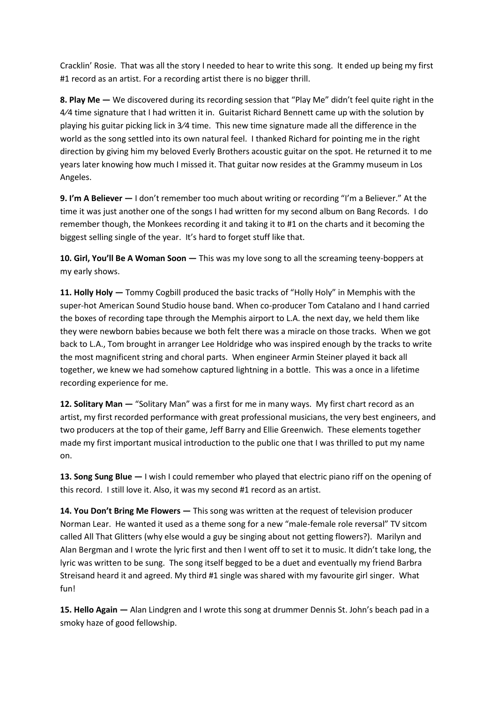Cracklin' Rosie. That was all the story I needed to hear to write this song. It ended up being my first #1 record as an artist. For a recording artist there is no bigger thrill.

**8. Play Me —** We discovered during its recording session that "Play Me" didn't feel quite right in the 4⁄4 time signature that I had written it in. Guitarist Richard Bennett came up with the solution by playing his guitar picking lick in 3⁄4 time. This new time signature made all the difference in the world as the song settled into its own natural feel. I thanked Richard for pointing me in the right direction by giving him my beloved Everly Brothers acoustic guitar on the spot. He returned it to me years later knowing how much I missed it. That guitar now resides at the Grammy museum in Los Angeles.

**9. I'm A Believer —** I don't remember too much about writing or recording "I'm a Believer." At the time it was just another one of the songs I had written for my second album on Bang Records. I do remember though, the Monkees recording it and taking it to #1 on the charts and it becoming the biggest selling single of the year. It's hard to forget stuff like that.

**10. Girl, You'll Be A Woman Soon —** This was my love song to all the screaming teeny-boppers at my early shows.

**11. Holly Holy —** Tommy Cogbill produced the basic tracks of "Holly Holy" in Memphis with the super-hot American Sound Studio house band. When co-producer Tom Catalano and I hand carried the boxes of recording tape through the Memphis airport to L.A. the next day, we held them like they were newborn babies because we both felt there was a miracle on those tracks. When we got back to L.A., Tom brought in arranger Lee Holdridge who was inspired enough by the tracks to write the most magnificent string and choral parts. When engineer Armin Steiner played it back all together, we knew we had somehow captured lightning in a bottle. This was a once in a lifetime recording experience for me.

**12. Solitary Man — "Solitary Man" was a first for me in many ways. My first chart record as an** artist, my first recorded performance with great professional musicians, the very best engineers, and two producers at the top of their game, Jeff Barry and Ellie Greenwich. These elements together made my first important musical introduction to the public one that I was thrilled to put my name on.

**13. Song Sung Blue —** I wish I could remember who played that electric piano riff on the opening of this record. I still love it. Also, it was my second #1 record as an artist.

**14. You Don't Bring Me Flowers —** This song was written at the request of television producer Norman Lear. He wanted it used as a theme song for a new "male-female role reversal" TV sitcom called All That Glitters (why else would a guy be singing about not getting flowers?). Marilyn and Alan Bergman and I wrote the lyric first and then I went off to set it to music. It didn't take long, the lyric was written to be sung. The song itself begged to be a duet and eventually my friend Barbra Streisand heard it and agreed. My third #1 single was shared with my favourite girl singer. What fun!

**15. Hello Again —** Alan Lindgren and I wrote this song at drummer Dennis St. John's beach pad in a smoky haze of good fellowship.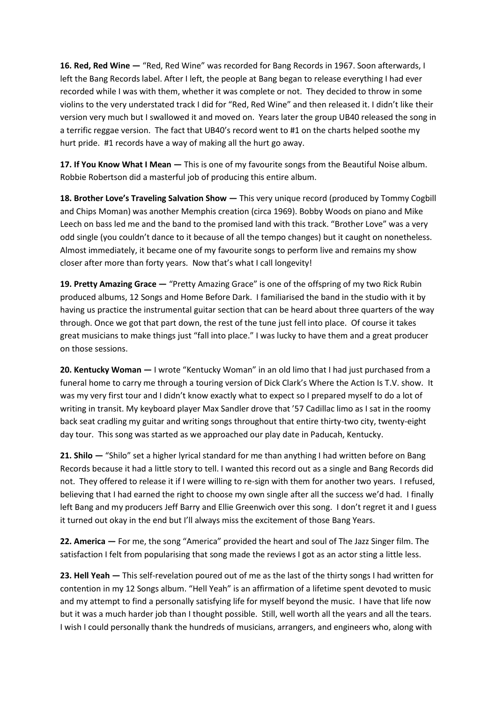**16. Red, Red Wine —** "Red, Red Wine" was recorded for Bang Records in 1967. Soon afterwards, I left the Bang Records label. After I left, the people at Bang began to release everything I had ever recorded while I was with them, whether it was complete or not. They decided to throw in some violins to the very understated track I did for "Red, Red Wine" and then released it. I didn't like their version very much but I swallowed it and moved on. Years later the group UB40 released the song in a terrific reggae version. The fact that UB40's record went to #1 on the charts helped soothe my hurt pride. #1 records have a way of making all the hurt go away.

17. If You Know What I Mean  $-$  This is one of my favourite songs from the Beautiful Noise album. Robbie Robertson did a masterful job of producing this entire album.

**18. Brother Love's Traveling Salvation Show —** This very unique record (produced by Tommy Cogbill and Chips Moman) was another Memphis creation (circa 1969). Bobby Woods on piano and Mike Leech on bass led me and the band to the promised land with this track. "Brother Love" was a very odd single (you couldn't dance to it because of all the tempo changes) but it caught on nonetheless. Almost immediately, it became one of my favourite songs to perform live and remains my show closer after more than forty years. Now that's what I call longevity!

19. Pretty Amazing Grace  $-$  "Pretty Amazing Grace" is one of the offspring of my two Rick Rubin produced albums, 12 Songs and Home Before Dark. I familiarised the band in the studio with it by having us practice the instrumental guitar section that can be heard about three quarters of the way through. Once we got that part down, the rest of the tune just fell into place. Of course it takes great musicians to make things just "fall into place." I was lucky to have them and a great producer on those sessions.

**20. Kentucky Woman —** I wrote "Kentucky Woman" in an old limo that I had just purchased from a funeral home to carry me through a touring version of Dick Clark's Where the Action Is T.V. show. It was my very first tour and I didn't know exactly what to expect so I prepared myself to do a lot of writing in transit. My keyboard player Max Sandler drove that '57 Cadillac limo as I sat in the roomy back seat cradling my guitar and writing songs throughout that entire thirty-two city, twenty-eight day tour. This song was started as we approached our play date in Paducah, Kentucky.

**21. Shilo —** "Shilo" set a higher lyrical standard for me than anything I had written before on Bang Records because it had a little story to tell. I wanted this record out as a single and Bang Records did not. They offered to release it if I were willing to re-sign with them for another two years. I refused, believing that I had earned the right to choose my own single after all the success we'd had. I finally left Bang and my producers Jeff Barry and Ellie Greenwich over this song. I don't regret it and I guess it turned out okay in the end but I'll always miss the excitement of those Bang Years.

**22. America —** For me, the song "America" provided the heart and soul of The Jazz Singer film. The satisfaction I felt from popularising that song made the reviews I got as an actor sting a little less.

**23. Hell Yeah —** This self-revelation poured out of me as the last of the thirty songs I had written for contention in my 12 Songs album. "Hell Yeah" is an affirmation of a lifetime spent devoted to music and my attempt to find a personally satisfying life for myself beyond the music. I have that life now but it was a much harder job than I thought possible. Still, well worth all the years and all the tears. I wish I could personally thank the hundreds of musicians, arrangers, and engineers who, along with